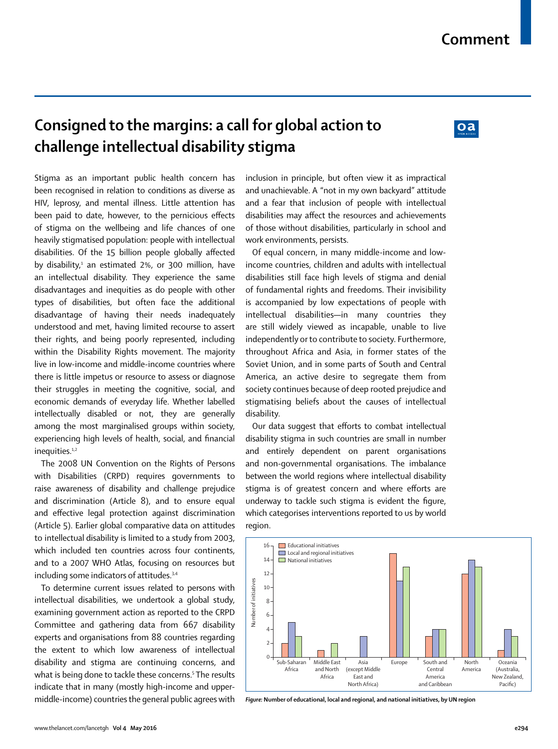## **Consigned to the margins: a call for global action to challenge intellectual disability stigma**

## $0a$

Stigma as an important public health concern has been recognised in relation to conditions as diverse as HIV, leprosy, and mental illness. Little attention has been paid to date, however, to the pernicious effects of stigma on the wellbeing and life chances of one heavily stigmatised population: people with intellectual disabilities. Of the 15 billion people globally affected by disability,<sup>1</sup> an estimated 2%, or 300 million, have an intellectual disability. They experience the same disadvantages and inequities as do people with other types of disabilities, but often face the additional disadvantage of having their needs inadequately understood and met, having limited recourse to assert their rights, and being poorly represented, including within the Disability Rights movement. The majority live in low-income and middle-income countries where there is little impetus or resource to assess or diagnose their struggles in meeting the cognitive, social, and economic demands of everyday life. Whether labelled intellectually disabled or not, they are generally among the most marginalised groups within society, experiencing high levels of health, social, and financial inequities.<sup>1,2</sup>

The 2008 UN Convention on the Rights of Persons with Disabilities (CRPD) requires governments to raise awareness of disability and challenge prejudice and discrimination (Article 8), and to ensure equal and effective legal protection against discrimination (Article 5). Earlier global comparative data on attitudes to intellectual disability is limited to a study from 2003, which included ten countries across four continents, and to a 2007 WHO Atlas, focusing on resources but including some indicators of attitudes.<sup>3,4</sup>

To determine current issues related to persons with intellectual disabilities, we undertook a global study, examining government action as reported to the CRPD Committee and gathering data from 667 disability experts and organisations from 88 countries regarding the extent to which low awareness of intellectual disability and stigma are continuing concerns, and what is being done to tackle these concerns.5 The results indicate that in many (mostly high-income and uppermiddle-income) countries the general public agrees with inclusion in principle, but often view it as impractical and unachievable. A "not in my own backyard" attitude and a fear that inclusion of people with intellectual disabilities may affect the resources and achievements of those without disabilities, particularly in school and work environments, persists.

Of equal concern, in many middle-income and lowincome countries, children and adults with intellectual disabilities still face high levels of stigma and denial of fundamental rights and freedoms. Their invisibility is accompanied by low expectations of people with intellectual disabilities—in many countries they are still widely viewed as incapable, unable to live independently or to contribute to society. Furthermore, throughout Africa and Asia, in former states of the Soviet Union, and in some parts of South and Central America, an active desire to segregate them from society continues because of deep rooted prejudice and stigmatising beliefs about the causes of intellectual disability.

Our data suggest that efforts to combat intellectual disability stigma in such countries are small in number and entirely dependent on parent organisations and non-governmental organisations. The imbalance between the world regions where intellectual disability stigma is of greatest concern and where efforts are underway to tackle such stigma is evident the figure, which categorises interventions reported to us by world region.



*Figure:* **Number of educational, local and regional, and national initiatives, by UN region**